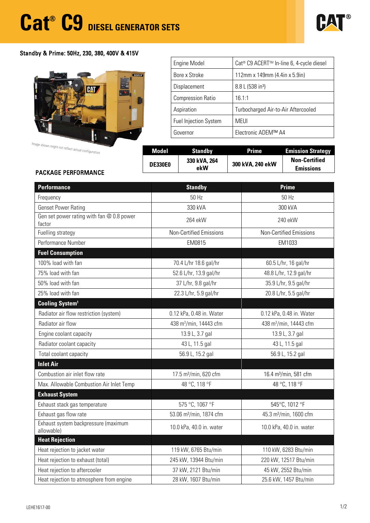

## Standby & Prime: 50Hz, 230, 380, 400V & 415V



| <b>Engine Model</b>          | Cat <sup>®</sup> C9 ACERT <sup>™</sup> In-line 6, 4-cycle diesel |  |  |  |
|------------------------------|------------------------------------------------------------------|--|--|--|
| Bore x Stroke                | 112mm x 149mm (4.4in x 5.9in)                                    |  |  |  |
| Displacement                 | 8.8 L (538 in <sup>3</sup> )                                     |  |  |  |
| <b>Compression Ratio</b>     | 16.1:1                                                           |  |  |  |
| Aspiration                   | Turbocharged Air-to-Air Aftercooled                              |  |  |  |
| <b>Fuel Injection System</b> | <b>MEUI</b>                                                      |  |  |  |
| Governor                     | Electronic ADEM™ A4                                              |  |  |  |

Image shown might

| aria shown might not reflect actual configuration | Model          | Standby             | <b>Prime</b>     | <b>Emission Strategy</b>                 |
|---------------------------------------------------|----------------|---------------------|------------------|------------------------------------------|
| <b>PACKAGE PERFORMANCE</b>                        | <b>DE330E0</b> | 330 kVA, 264<br>ekW | 300 kVA, 240 ekW | <b>Non-Certified</b><br><b>Emissions</b> |
|                                                   |                |                     |                  |                                          |

| <b>Performance</b>                                  | <b>Standby</b>                      | <b>Prime</b>                       |  |  |  |
|-----------------------------------------------------|-------------------------------------|------------------------------------|--|--|--|
| Frequency                                           | 50 Hz                               | 50 Hz                              |  |  |  |
| <b>Genset Power Rating</b>                          | 330 kVA                             | 300 kVA                            |  |  |  |
| Gen set power rating with fan @ 0.8 power<br>factor | 264 ekW                             | 240 ekW                            |  |  |  |
| Fuelling strategy                                   | <b>Non-Certified Emissions</b>      | <b>Non-Certified Emissions</b>     |  |  |  |
| Performance Number                                  | EM0815                              | EM1033                             |  |  |  |
| <b>Fuel Consumption</b>                             |                                     |                                    |  |  |  |
| 100% load with fan                                  | 70.4 L/hr 18.6 gal/hr               | 60.5 L/hr, 16 gal/hr               |  |  |  |
| 75% load with fan                                   | 52.6 L/hr, 13.9 gal/hr              | 48.8 L/hr, 12.9 gal/hr             |  |  |  |
| 50% load with fan                                   | 37 L/hr, 9.8 gal/hr                 | 35.9 L/hr, 9.5 gal/hr              |  |  |  |
| 25% load with fan                                   | 22.3 L/hr, 5.9 gal/hr               | 20.8 L/hr, 5.5 gal/hr              |  |  |  |
| Cooling System <sup>1</sup>                         |                                     |                                    |  |  |  |
| Radiator air flow restriction (system)              | 0.12 kPa, 0.48 in. Water            | 0.12 kPa, 0.48 in. Water           |  |  |  |
| Radiator air flow                                   | 438 m <sup>3</sup> /min, 14443 cfm  | 438 m <sup>3</sup> /min, 14443 cfm |  |  |  |
| Engine coolant capacity                             | 13.9 L, 3.7 gal                     | 13.9 L, 3.7 gal                    |  |  |  |
| Radiator coolant capacity                           | 43 L, 11.5 gal                      | 43 L, 11.5 gal                     |  |  |  |
| Total coolant capacity                              | 56.9 L, 15.2 gal                    | 56.9 L, 15.2 gal                   |  |  |  |
| <b>Inlet Air</b>                                    |                                     |                                    |  |  |  |
| Combustion air inlet flow rate                      | 17.5 m <sup>3</sup> /min, 620 cfm   | 16.4 m <sup>3</sup> /min, 581 cfm  |  |  |  |
| Max. Allowable Combustion Air Inlet Temp            | 48 °C, 118 °F                       | 48 °C, 118 °F                      |  |  |  |
| <b>Exhaust System</b>                               |                                     |                                    |  |  |  |
| Exhaust stack gas temperature                       | 575 °C, 1067 °F                     | 545°C, 1012 °F                     |  |  |  |
| Exhaust gas flow rate                               | 53.06 m <sup>3</sup> /min, 1874 cfm | 45.3 m <sup>3</sup> /min, 1600 cfm |  |  |  |
| Exhaust system backpressure (maximum<br>allowable)  | 10.0 kPa, 40.0 in. water            | 10.0 kPa, 40.0 in. water           |  |  |  |
| <b>Heat Rejection</b>                               |                                     |                                    |  |  |  |
| Heat rejection to jacket water                      | 119 kW, 6765 Btu/min                | 110 kW, 6283 Btu/min               |  |  |  |
| Heat rejection to exhaust (total)                   | 245 kW, 13944 Btu/min               | 220 kW, 12517 Btu/min              |  |  |  |
| Heat rejection to aftercooler                       | 37 kW, 2121 Btu/min                 | 45 kW, 2552 Btu/min                |  |  |  |
| Heat rejection to atmosphere from engine            | 28 kW, 1607 Btu/min                 | 25.6 kW, 1457 Btu/min              |  |  |  |